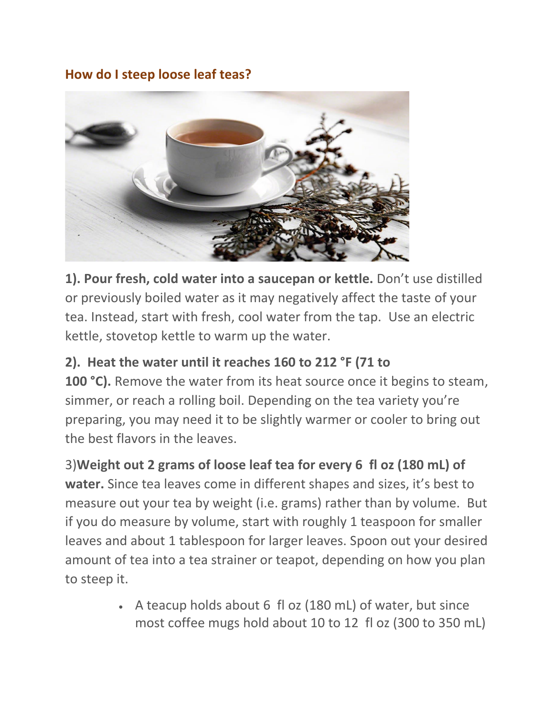## **How do I steep loose leaf teas?**



**1). Pour fresh, cold water into a saucepan or kettle.** Don't use distilled or previously boiled water as it may negatively affect the taste of your tea. Instead, start with fresh, cool water from the tap. Use an electric kettle, stovetop kettle to warm up the water.

## **2). Heat the water until it reaches 160 to 212 °F (71 to**

**100 °C).** Remove the water from its heat source once it begins to steam, simmer, or reach a rolling boil. Depending on the tea variety you're preparing, you may need it to be slightly warmer or cooler to bring out the best flavors in the leaves.

## 3)**Weight out 2 grams of loose leaf tea for every 6 fl oz (180 mL) of**

**water.** Since tea leaves come in different shapes and sizes, it's best to measure out your tea by weight (i.e. grams) rather than by volume. But if you do measure by volume, start with roughly 1 teaspoon for smaller leaves and about 1 tablespoon for larger leaves. Spoon out your desired amount of tea into a tea strainer or teapot, depending on how you plan to steep it.

> • A teacup holds about 6 fl oz (180 mL) of water, but since most coffee mugs hold about 10 to 12 fl oz (300 to 350 mL)